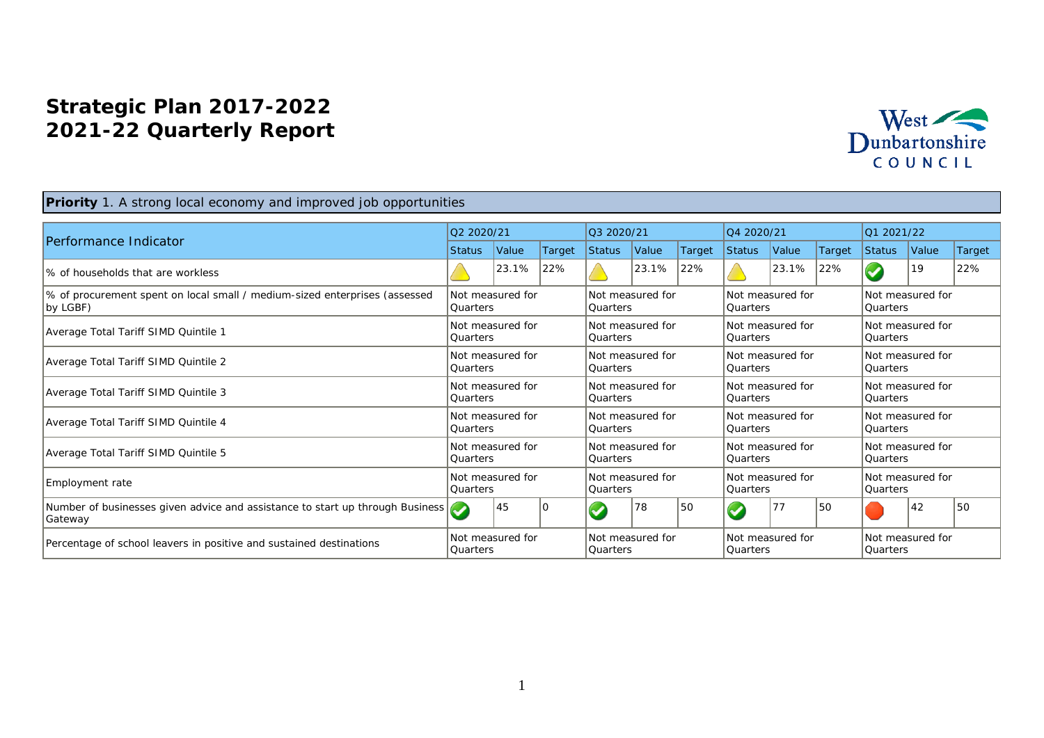## **Strategic Plan 2017-2022 2021-22 Quarterly Report**



## **Priority** 1. A strong local economy and improved job opportunities

|                                                                                          | Q2 2020/21                    |                  |        | Q3 2020/21                     |       |        | Q4 2020/21                          |       |        | 01 2021/22                          |       |        |
|------------------------------------------------------------------------------------------|-------------------------------|------------------|--------|--------------------------------|-------|--------|-------------------------------------|-------|--------|-------------------------------------|-------|--------|
| Performance Indicator                                                                    | <b>Status</b>                 | Value            | Target | Status                         | Value | Target | <b>Status</b>                       | Value | Target | Status                              | Value | Target |
| 1% of households that are workless                                                       |                               | 23.1%            | 22%    |                                | 23.1% | 22%    |                                     | 23.1% | 22%    |                                     | 19    | 22%    |
| % of procurement spent on local small / medium-sized enterprises (assessed<br>by LGBF)   | <b>Quarters</b>               | Not measured for |        | Not measured for<br>l Quarters |       |        | Not measured for<br><b>Quarters</b> |       |        | Not measured for<br> Quarters       |       |        |
| Average Total Tariff SIMD Quintile 1                                                     | <b>Quarters</b>               | Not measured for |        | Not measured for<br> Quarters  |       |        | Not measured for<br><b>Quarters</b> |       |        | Not measured for<br><b>Quarters</b> |       |        |
| Average Total Tariff SIMD Quintile 2                                                     | <b>Quarters</b>               | Not measured for |        | Not measured for<br> Quarters  |       |        | Not measured for<br><b>Quarters</b> |       |        | Not measured for<br>Quarters        |       |        |
| Average Total Tariff SIMD Quintile 3                                                     | Quarters                      | Not measured for |        | Not measured for<br>l Quarters |       |        | Not measured for<br><b>Quarters</b> |       |        | Not measured for<br> Quarters       |       |        |
| Average Total Tariff SIMD Quintile 4                                                     | <b>Quarters</b>               | Not measured for |        | Not measured for<br> Quarters  |       |        | Not measured for<br><b>Quarters</b> |       |        | Not measured for<br>Quarters        |       |        |
| Average Total Tariff SIMD Quintile 5                                                     | <b>Quarters</b>               | Not measured for |        | Not measured for<br>l Quarters |       |        | Not measured for<br><b>Quarters</b> |       |        | Not measured for<br>lQuarters       |       |        |
| Employment rate                                                                          | Not measured for<br> Quarters |                  |        | Not measured for<br>l Quarters |       |        | Not measured for<br><b>Quarters</b> |       |        | Not measured for<br><b>Ouarters</b> |       |        |
| Number of businesses given advice and assistance to start up through Business<br>Gateway |                               | 45               |        |                                | 78    | 50     | $\bullet$                           | 77    | 150    |                                     | 42    | 150    |
| Percentage of school leavers in positive and sustained destinations                      | Not measured for<br>Ouarters  |                  |        | Not measured for<br>l Ouarters |       |        | Not measured for<br><b>Ouarters</b> |       |        | Not measured for<br>lOuarters       |       |        |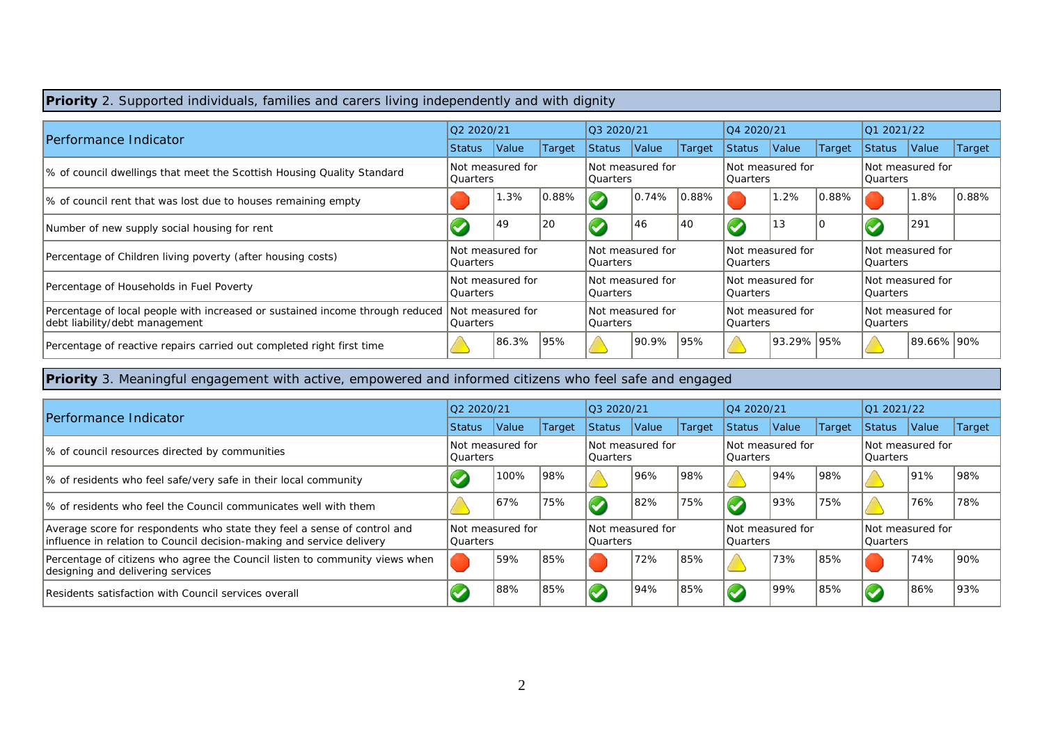| <b>Priority</b> 2. Supported individuals, families and carers living independently and with dignity                              |                                     |                  |           |                                     |       |        |                                |            |        |                               |            |           |
|----------------------------------------------------------------------------------------------------------------------------------|-------------------------------------|------------------|-----------|-------------------------------------|-------|--------|--------------------------------|------------|--------|-------------------------------|------------|-----------|
|                                                                                                                                  | Q2 2020/21                          |                  |           | Q3 2020/21                          |       |        | Q4 2020/21                     |            |        | 01 2021/22                    |            |           |
| Performance Indicator                                                                                                            | Status                              | <b>Value</b>     | Target    | <b>Status</b>                       | Value | Target | Status                         | Value      | Target | Status                        | Value      | Target    |
| % of council dwellings that meet the Scottish Housing Quality Standard                                                           | Not measured for<br><b>Quarters</b> |                  |           | Not measured for<br><b>Quarters</b> |       |        | Not measured for<br> Quarters  |            |        | Not measured for<br> Quarters |            |           |
| % of council rent that was lost due to houses remaining empty                                                                    |                                     | 1.3%             | $ 0.88\%$ |                                     | 0.74% | 0.88%  |                                | $.2\%$     | 0.88%  |                               | 1.8%       | $ 0.88\%$ |
| Number of new supply social housing for rent                                                                                     |                                     | 49               | 20        |                                     | 46    | 40     |                                | 13         | ТC     |                               | 291        |           |
| Percentage of Children living poverty (after housing costs)                                                                      | <b>Quarters</b>                     | Not measured for |           | Not measured for<br>Quarters        |       |        | Not measured for<br>l Quarters |            |        | Not measured for<br> Quarters |            |           |
| Percentage of Households in Fuel Poverty                                                                                         | Not measured for<br>Quarters        |                  |           | Not measured for<br><b>Quarters</b> |       |        | Not measured for<br>l Quarters |            |        | Not measured for<br> Quarters |            |           |
| Percentage of local people with increased or sustained income through reduced Not measured for<br>debt liability/debt management | Quarters                            |                  |           | Not measured for<br><b>Quarters</b> |       |        | Not measured for<br>l Quarters |            |        | Not measured for<br> Quarters |            |           |
| Percentage of reactive repairs carried out completed right first time                                                            |                                     | 86.3%            | 195%      |                                     | 90.9% | 95%    |                                | 93.29% 95% |        |                               | 89.66% 90% |           |

**Priority** 3. Meaningful engagement with active, empowered and informed citizens who feel safe and engaged

| Performance Indicator                                                                                                                             |        | 02 2020/21                    |        |                                | $\big 03\ 2020/21\big $       |        |                                | 04 2020/21                     |        |                               | 01 2021/22                    |        |  |
|---------------------------------------------------------------------------------------------------------------------------------------------------|--------|-------------------------------|--------|--------------------------------|-------------------------------|--------|--------------------------------|--------------------------------|--------|-------------------------------|-------------------------------|--------|--|
|                                                                                                                                                   | Status | Value                         | Target | <b>Status</b>                  | Value                         | Target | Status                         | Value                          | Target | <b>Status</b>                 | Value                         | Target |  |
| % of council resources directed by communities                                                                                                    |        | Not measured for<br> Quarters |        | Not measured for<br>l Quarters |                               |        | Not measured for<br>l Quarters |                                |        | Not measured for<br> Quarters |                               |        |  |
| % of residents who feel safe/very safe in their local community                                                                                   |        | 100%                          | 98%    |                                | 96%                           | 98%    |                                | 94%                            | 98%    |                               | 91%                           | 98%    |  |
| 1% of residents who feel the Council communicates well with them                                                                                  |        | 67%                           | 75%    |                                | 82%                           | 75%    |                                | 93%                            | 75%    |                               | 76%                           | 78%    |  |
| Average score for respondents who state they feel a sense of control and<br>influence in relation to Council decision-making and service delivery |        | Not measured for<br>lOuarters |        |                                | Not measured for<br> Quarters |        |                                | Not measured for<br>l Quarters |        |                               | Not measured for<br> Quarters |        |  |
| Percentage of citizens who agree the Council listen to community views when<br>designing and delivering services                                  |        | 59%                           | 85%    |                                | 72%                           | 85%    |                                | '73%                           | 85%    |                               | 74%                           | 90%    |  |
| Residents satisfaction with Council services overall                                                                                              |        | 88%                           | 85%    |                                | 94%                           | 85%    |                                | 199%                           | 85%    |                               | 86%                           | 93%    |  |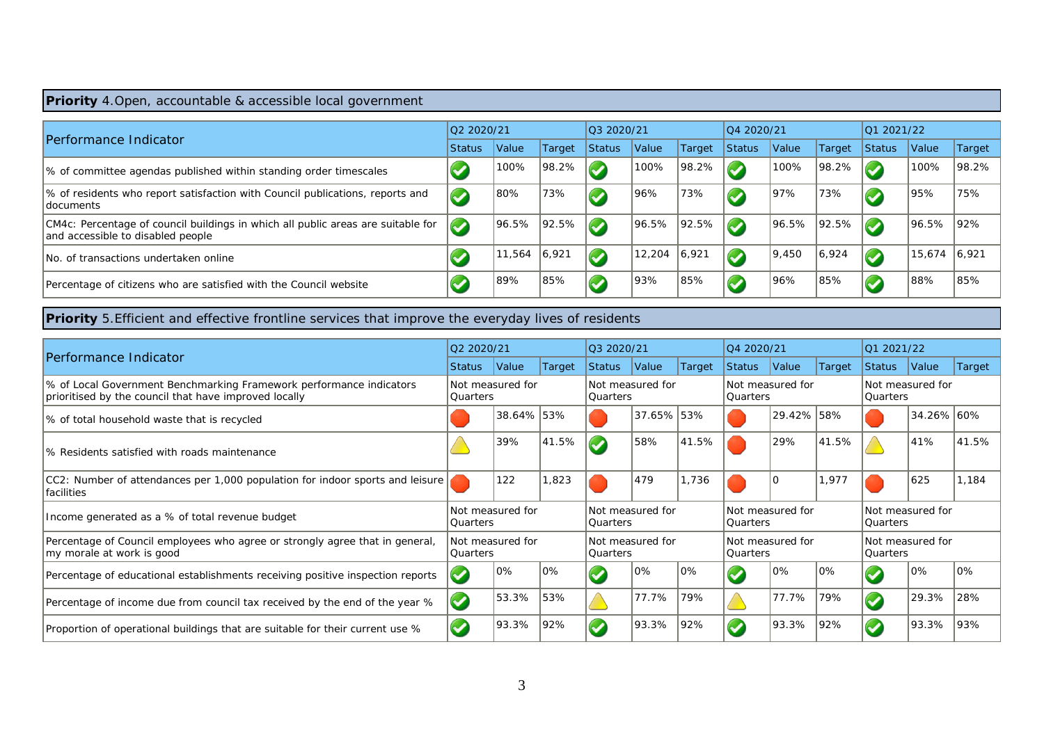## **Priority** 4.Open, accountable & accessible local government

| <b>Performance Indicator</b>                                                                                          | 02 2020/21               |                     |        | 03 2020/21    |        |        | 04 2020/21    |       |        | 012021/22 |        |         |
|-----------------------------------------------------------------------------------------------------------------------|--------------------------|---------------------|--------|---------------|--------|--------|---------------|-------|--------|-----------|--------|---------|
|                                                                                                                       | <b>Status</b>            | <i><b>Value</b></i> | Target | <b>Status</b> | Value  | Target | <b>Status</b> | Value | Target | Status    | Value  | Target  |
| 1% of committee agendas published within standing order timescales                                                    |                          | 100%                | 98.2%  | $\sim$ $\sim$ | 100%   | 98.2%  | $\sim$        | 100%  | 98.2%  |           | 100%   | 98.2%   |
| % of residents who report satisfaction with Council publications, reports and<br><b>documents</b>                     | $\blacktriangledown$     | 80%                 | 73%    |               | 96%    | 73%    |               | 97%   | 73%    |           | 95%    | 75%     |
| CM4c: Percentage of council buildings in which all public areas are suitable for<br>and accessible to disabled people | $\overline{\mathcal{L}}$ | 96.5%               | 92.5%  | $\sim$        | 96.5%  | 92.5%  | $\sim$        | 96.5% | 92.5%  |           | 96.5%  | $ 92\%$ |
| INo. of transactions undertaken online                                                                                |                          | 11,564              | 16,921 |               | 12,204 | 6,921  |               | 9,450 | 6,924  |           | 15,674 | 16.921  |
| Percentage of citizens who are satisfied with the Council website                                                     |                          | 89%                 | 85%    |               | 93%    | 85%    |               | 96%   | 85%    |           | 88%    | 85%     |

**Priority** 5.Efficient and effective frontline services that improve the everyday lives of residents

|                                                                                                                              |                              | Q2 2020/21       |                               |                                     | Q3 2020/21 |        |                                     | Q4 2020/21       |        |                               | Q1 2021/22 |        |  |  |
|------------------------------------------------------------------------------------------------------------------------------|------------------------------|------------------|-------------------------------|-------------------------------------|------------|--------|-------------------------------------|------------------|--------|-------------------------------|------------|--------|--|--|
| Performance Indicator                                                                                                        | <b>Status</b>                | Value            | Target                        | <b>Status</b>                       | Value      | Target | <b>Status</b>                       | Value            | Target | Status                        | Value      | Target |  |  |
| % of Local Government Benchmarking Framework performance indicators<br>prioritised by the council that have improved locally | Not measured for<br>Quarters |                  |                               | Not measured for<br>Quarters        |            |        | Quarters                            | Not measured for |        | Not measured for<br>Quarters  |            |        |  |  |
| % of total household waste that is recycled                                                                                  |                              | 38.64% 53%       |                               |                                     | 37.65% 53% |        |                                     | 29.42% 58%       |        |                               | 34.26% 60% |        |  |  |
| Ⅰ% Residents satisfied with roads maintenance                                                                                |                              | 39%              | 41.5%                         | $\omega$                            | 58%        | 41.5%  |                                     | 29%              | 41.5%  |                               | 41%        | 41.5%  |  |  |
| $ CC2 $ : Number of attendances per 1,000 population for indoor sports and leisure<br> facilities                            |                              | 122              | ,823                          |                                     | 479        | 1,736  |                                     | ١O               | 1,977  |                               | 625        | 1.184  |  |  |
| Income generated as a % of total revenue budget                                                                              | Quarters                     | Not measured for |                               | Not measured for<br><b>Ouarters</b> |            |        | Not measured for<br><b>Ouarters</b> |                  |        | Not measured for<br>lOuarters |            |        |  |  |
| Percentage of Council employees who agree or strongly agree that in general,<br>my morale at work is good                    | <b>Quarters</b>              | Not measured for | Not measured for<br> Quarters |                                     |            |        | Not measured for<br>Quarters        |                  |        | Not measured for<br> Quarters |            |        |  |  |
| Percentage of educational establishments receiving positive inspection reports                                               | $\blacktriangledown$         | 0%               | 10%                           |                                     | $10\%$     | 0%     |                                     | 0%               | 0%     |                               | 0%         | 10%    |  |  |
| Percentage of income due from council tax received by the end of the year %                                                  | $\blacktriangledown$         | 53.3%            | 53%                           |                                     | 77.7%      | 79%    |                                     | 77.7%            | 79%    |                               | 29.3%      | 28%    |  |  |
| Proportion of operational buildings that are suitable for their current use %                                                | $\overline{\mathcal{G}}$     | 93.3%            | 92%                           |                                     | 93.3%      | 92%    |                                     | 93.3%            | 92%    |                               | 93.3%      | 193%   |  |  |